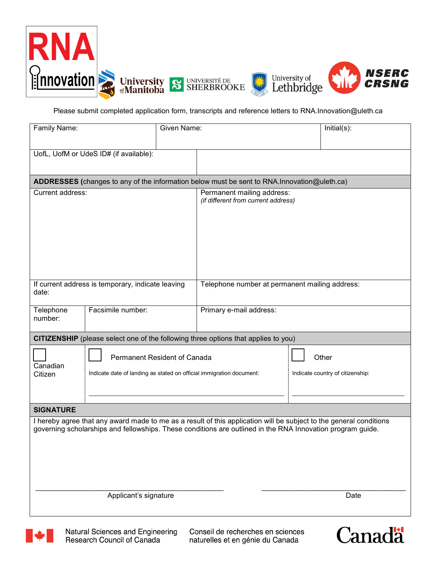





Please submit completed application form, transcripts and reference letters to RNA.Innovation@uleth.ca

| Family Name:                                                                                                                                                                                                                                                      | Given Name:                                                                                          |                                                                   |                                                                                              | Initial(s):                               |  |
|-------------------------------------------------------------------------------------------------------------------------------------------------------------------------------------------------------------------------------------------------------------------|------------------------------------------------------------------------------------------------------|-------------------------------------------------------------------|----------------------------------------------------------------------------------------------|-------------------------------------------|--|
|                                                                                                                                                                                                                                                                   | UofL, UofM or UdeS ID# (if available):                                                               |                                                                   |                                                                                              |                                           |  |
|                                                                                                                                                                                                                                                                   |                                                                                                      |                                                                   | ADDRESSES (changes to any of the information below must be sent to RNA. Innovation@uleth.ca) |                                           |  |
| Current address:                                                                                                                                                                                                                                                  |                                                                                                      | Permanent mailing address:<br>(if different from current address) |                                                                                              |                                           |  |
| If current address is temporary, indicate leaving<br>date:                                                                                                                                                                                                        |                                                                                                      | Telephone number at permanent mailing address:                    |                                                                                              |                                           |  |
| Telephone<br>number:                                                                                                                                                                                                                                              | Facsimile number:                                                                                    |                                                                   | Primary e-mail address:                                                                      |                                           |  |
| CITIZENSHIP (please select one of the following three options that applies to you)                                                                                                                                                                                |                                                                                                      |                                                                   |                                                                                              |                                           |  |
| Canadian<br>Citizen                                                                                                                                                                                                                                               | Permanent Resident of Canada<br>Indicate date of landing as stated on official immigration document: |                                                                   |                                                                                              | Other<br>Indicate country of citizenship: |  |
| <b>SIGNATURE</b>                                                                                                                                                                                                                                                  |                                                                                                      |                                                                   |                                                                                              |                                           |  |
| I hereby agree that any award made to me as a result of this application will be subject to the general conditions<br>governing scholarships and fellowships. These conditions are outlined in the RNA Innovation program guide.<br>Applicant's signature<br>Date |                                                                                                      |                                                                   |                                                                                              |                                           |  |
|                                                                                                                                                                                                                                                                   |                                                                                                      |                                                                   |                                                                                              |                                           |  |



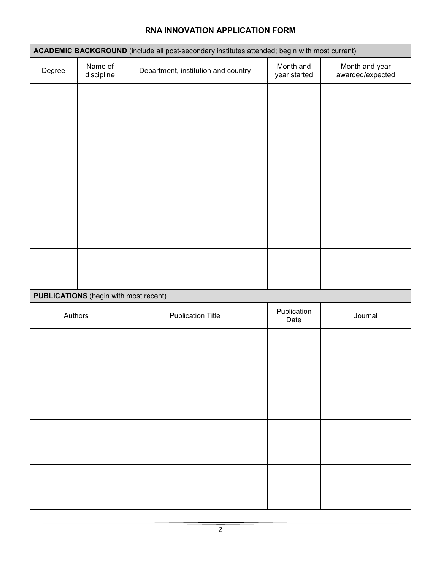# **ACADEMIC BACKGROUND** (include all post-secondary institutes attended; begin with most current) Degree | Name of discipline Department, institution and country Month and year started Month and year awarded/expected **PUBLICATIONS** (begin with most recent) Authors Publication Title Publication Title Publication Journal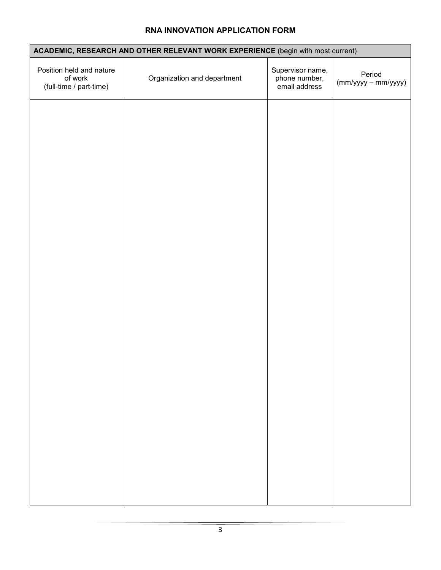| ACADEMIC, RESEARCH AND OTHER RELEVANT WORK EXPERIENCE (begin with most current) |                             |                                                    |                                 |  |
|---------------------------------------------------------------------------------|-----------------------------|----------------------------------------------------|---------------------------------|--|
| Position held and nature<br>of work<br>(full-time / part-time)                  | Organization and department | Supervisor name,<br>phone number,<br>email address | Period<br>$(mm/yyyy - mm/yyyy)$ |  |
|                                                                                 |                             |                                                    |                                 |  |
|                                                                                 |                             |                                                    |                                 |  |
|                                                                                 |                             |                                                    |                                 |  |
|                                                                                 |                             |                                                    |                                 |  |
|                                                                                 |                             |                                                    |                                 |  |
|                                                                                 |                             |                                                    |                                 |  |
|                                                                                 |                             |                                                    |                                 |  |
|                                                                                 |                             |                                                    |                                 |  |
|                                                                                 |                             |                                                    |                                 |  |
|                                                                                 |                             |                                                    |                                 |  |
|                                                                                 |                             |                                                    |                                 |  |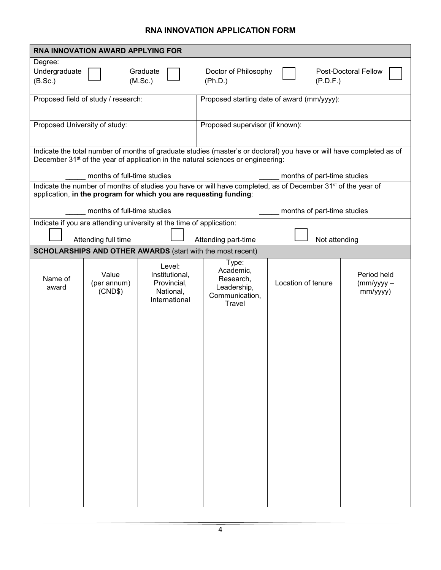| <b>RNA INNOVATION AWARD APPLYING FOR</b>                                                                                            |                                                                                                                                                                                                                      |                                                                       |                                                                                   |                                                                                                                          |                                               |  |
|-------------------------------------------------------------------------------------------------------------------------------------|----------------------------------------------------------------------------------------------------------------------------------------------------------------------------------------------------------------------|-----------------------------------------------------------------------|-----------------------------------------------------------------------------------|--------------------------------------------------------------------------------------------------------------------------|-----------------------------------------------|--|
| Degree:<br>Undergraduate<br>(B.Sc.)                                                                                                 |                                                                                                                                                                                                                      | Graduate<br>(M.Sc.)                                                   | Doctor of Philosophy<br>(Ph.D.)                                                   | (P.D.F.)                                                                                                                 | <b>Post-Doctoral Fellow</b>                   |  |
| Proposed field of study / research:                                                                                                 |                                                                                                                                                                                                                      |                                                                       | Proposed starting date of award (mm/yyyy):                                        |                                                                                                                          |                                               |  |
| Proposed University of study:                                                                                                       |                                                                                                                                                                                                                      |                                                                       | Proposed supervisor (if known):                                                   |                                                                                                                          |                                               |  |
|                                                                                                                                     | Indicate the total number of months of graduate studies (master's or doctoral) you have or will have completed as of<br>December 31 <sup>st</sup> of the year of application in the natural sciences or engineering: |                                                                       |                                                                                   |                                                                                                                          |                                               |  |
|                                                                                                                                     | months of full-time studies                                                                                                                                                                                          |                                                                       | months of part-time studies                                                       |                                                                                                                          |                                               |  |
|                                                                                                                                     |                                                                                                                                                                                                                      | application, in the program for which you are requesting funding:     |                                                                                   | Indicate the number of months of studies you have or will have completed, as of December 31 <sup>st</sup> of the year of |                                               |  |
|                                                                                                                                     | months of full-time studies                                                                                                                                                                                          |                                                                       |                                                                                   | months of part-time studies                                                                                              |                                               |  |
| Indicate if you are attending university at the time of application:<br>Attending full time<br>Not attending<br>Attending part-time |                                                                                                                                                                                                                      |                                                                       |                                                                                   |                                                                                                                          |                                               |  |
|                                                                                                                                     |                                                                                                                                                                                                                      | <b>SCHOLARSHIPS AND OTHER AWARDS</b> (start with the most recent)     |                                                                                   |                                                                                                                          |                                               |  |
| Name of<br>award                                                                                                                    | Value<br>(per annum)<br>(CND\$)                                                                                                                                                                                      | Level:<br>Institutional,<br>Provincial,<br>National,<br>International | Type:<br>Academic,<br>Research,<br>Leadership,<br>Communication,<br><b>Travel</b> | Location of tenure                                                                                                       | Period held<br>$\frac{mm/yyy}{-}$<br>mm/yyyy) |  |
|                                                                                                                                     |                                                                                                                                                                                                                      |                                                                       |                                                                                   |                                                                                                                          |                                               |  |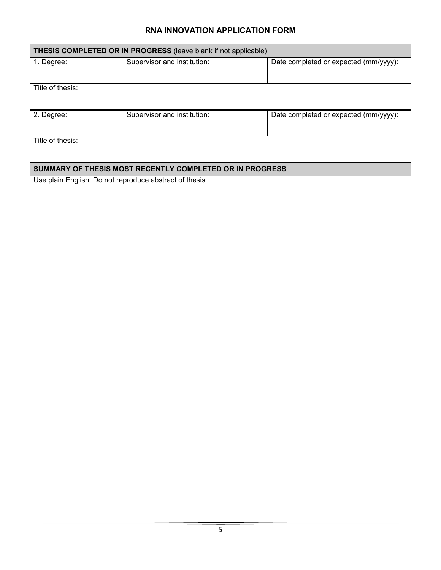| THESIS COMPLETED OR IN PROGRESS (leave blank if not applicable) |                                                          |                                       |  |  |
|-----------------------------------------------------------------|----------------------------------------------------------|---------------------------------------|--|--|
| 1. Degree:                                                      | Supervisor and institution:                              | Date completed or expected (mm/yyyy): |  |  |
| Title of thesis:                                                |                                                          |                                       |  |  |
| 2. Degree:                                                      | Supervisor and institution:                              | Date completed or expected (mm/yyyy): |  |  |
| Title of thesis:                                                |                                                          |                                       |  |  |
|                                                                 | SUMMARY OF THESIS MOST RECENTLY COMPLETED OR IN PROGRESS |                                       |  |  |
| Use plain English. Do not reproduce abstract of thesis.         |                                                          |                                       |  |  |
|                                                                 |                                                          |                                       |  |  |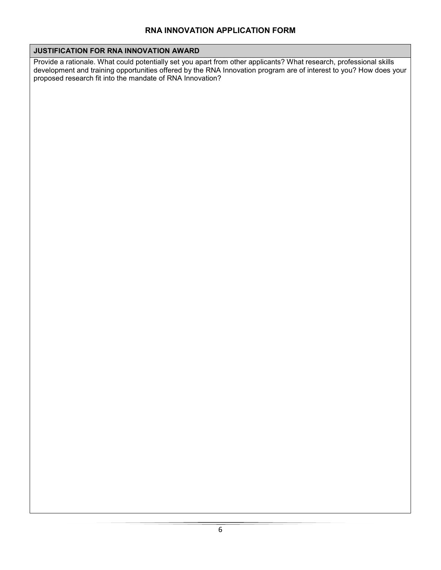#### **JUSTIFICATION FOR RNA INNOVATION AWARD**

Provide a rationale. What could potentially set you apart from other applicants? What research, professional skills development and training opportunities offered by the RNA Innovation program are of interest to you? How does your proposed research fit into the mandate of RNA Innovation?